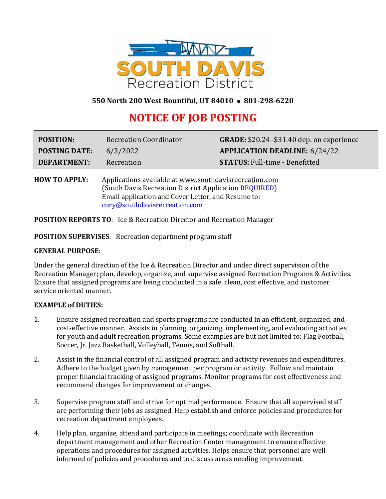

# **550 North 200 West Bountiful, UT 84010** ⚫ **801-298-6220**

# **NOTICE OF JOB POSTING**

| <b>POSITION:</b>     | <b>Recreation Coordinator</b> | <b>GRADE:</b> \$20.24 - \$31.40 dep. on experience |
|----------------------|-------------------------------|----------------------------------------------------|
| <b>POSTING DATE:</b> | 6/3/2022                      | <b>APPLICATION DEADLINE: 6/24/22</b>               |
| DEPARTMENT:          | Recreation                    | <b>STATUS: Full-time - Benefitted</b>              |

**HOW TO APPLY:** Applications available a[t www.southdavisrecreation.com](http://www.southdavisrecreation.com/) (South Davis Recreation District Application [REQUIRED\)](http://southdavisrecreation.com/wp-content/uploads/2015/06/SDRC-Job-Application.pdf) Email application and Cover Letter, and Resume to: [cory@southdavisrecreation.com](mailto:cory@southdavisrecreation.com)

**POSITION REPORTS TO**: Ice & Recreation Director and Recreation Manager

**POSITION SUPERVISES**: Recreation department program staff

#### **GENERAL PURPOSE**:

Under the general direction of the Ice & Recreation Director and under direct supervision of the Recreation Manager; plan, develop, organize, and supervise assigned Recreation Programs & Activities. Ensure that assigned programs are being conducted in a safe, clean, cost effective, and customer service oriented manner.

#### **EXAMPLE of DUTIES:**

- 1. Ensure assigned recreation and sports programs are conducted in an efficient, organized, and cost-effective manner. Assists in planning, organizing, implementing, and evaluating activities for youth and adult recreation programs. Some examples are but not limited to: Flag Football, Soccer, Jr. Jazz Basketball, Volleyball, Tennis, and Softball.
- 2. Assist in the financial control of all assigned program and activity revenues and expenditures. Adhere to the budget given by management per program or activity. Follow and maintain proper financial tracking of assigned programs. Monitor programs for cost effectiveness and recommend changes for improvement or changes.
- 3. Supervise program staff and strive for optimal performance. Ensure that all supervised staff are performing their jobs as assigned. Help establish and enforce policies and procedures for recreation department employees.
- 4. Help plan, organize, attend and participate in meetings; coordinate with Recreation department management and other Recreation Center management to ensure effective operations and procedures for assigned activities. Helps ensure that personnel are well informed of policies and procedures and to discuss areas needing improvement.